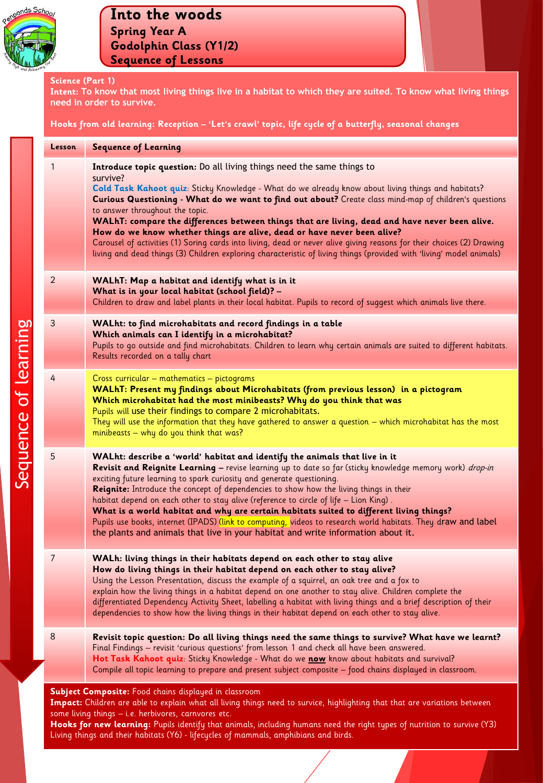

#### **Science (Part 1)**

**Intent: To know that most living things live in a habitat to which they are suited. To know what living things need in order to survive.** 

**Hooks from old learning: Reception – 'Let's crawl' topic, life cycle of a butterfly, seasonal changes**

| <b>Lesson</b>                                                                                                                                                                                                                               | <b>Sequence of Learning</b>                                                                                                                                                                                                                                                                                                                                                                                                                                                                                                                                                                                                                                                                                                                                          |
|---------------------------------------------------------------------------------------------------------------------------------------------------------------------------------------------------------------------------------------------|----------------------------------------------------------------------------------------------------------------------------------------------------------------------------------------------------------------------------------------------------------------------------------------------------------------------------------------------------------------------------------------------------------------------------------------------------------------------------------------------------------------------------------------------------------------------------------------------------------------------------------------------------------------------------------------------------------------------------------------------------------------------|
| 1                                                                                                                                                                                                                                           | Introduce topic question: Do all living things need the same things to<br>survive?<br>Cold Task Kahoot quiz: Sticky Knowledge - What do we already know about living things and habitats?<br>Curious Questioning - What do we want to find out about? Create class mind-map of children's questions<br>to answer throughout the topic.<br>WALhT: compare the differences between things that are living, dead and have never been alive.<br>How do we know whether things are alive, dead or have never been alive?<br>Carousel of activities (1) Soring cards into living, dead or never alive giving reasons for their choices (2) Drawing<br>living and dead things (3) Children exploring characteristic of living things (provided with 'living' model animals) |
| $\overline{2}$                                                                                                                                                                                                                              | WALhT: Map a habitat and identify what is in it<br>What is in your local habitat (school field)? -<br>Children to draw and label plants in their local habitat. Pupils to record of suggest which animals live there.                                                                                                                                                                                                                                                                                                                                                                                                                                                                                                                                                |
| 3                                                                                                                                                                                                                                           | WALht: to find microhabitats and record findings in a table<br>Which animals can I identify in a microhabitat?<br>Pupils to go outside and find microhabitats. Children to learn why certain animals are suited to different habitats.<br>Results recorded on a tally chart                                                                                                                                                                                                                                                                                                                                                                                                                                                                                          |
| 4                                                                                                                                                                                                                                           | Cross curricular - mathematics - pictograms<br>WALhT: Present my findings about Microhabitats (from previous lesson) in a pictogram<br>Which microhabitat had the most minibeasts? Why do you think that was<br>Pupils will use their findings to compare 2 microhabitats.<br>They will use the information that they have gathered to answer a question – which microhabitat has the most<br>minibeasts - why do you think that was?                                                                                                                                                                                                                                                                                                                                |
| 5                                                                                                                                                                                                                                           | WALht: describe a 'world' habitat and identify the animals that live in it<br>Revisit and Reignite Learning - revise learning up to date so far (sticky knowledge memory work) drop-in<br>exciting future learning to spark curiosity and generate questioning.<br>Reignite: Introduce the concept of dependencies to show how the living things in their<br>habitat depend on each other to stay alive (reference to circle of life – Lion King).<br>What is a world habitat and why are certain habitats suited to different living things?<br>Pupils use books, internet (IPADS) (link to computing, videos to research world habitats. They draw and label<br>the plants and animals that live in your habitat and write information about it.                   |
| 7                                                                                                                                                                                                                                           | WALh: living things in their habitats depend on each other to stay alive<br>How do living things in their habitat depend on each other to stay alive?<br>Using the Lesson Presentation, discuss the example of a squirrel, an oak tree and a fox to<br>explain how the living things in a habitat depend on one another to stay alive. Children complete the<br>differentiated Dependency Activity Sheet, labelling a habitat with living things and a brief description of their<br>dependencies to show how the living things in their habitat depend on each other to stay alive.                                                                                                                                                                                 |
| 8                                                                                                                                                                                                                                           | Revisit topic question: Do all living things need the same things to survive? What have we learnt?<br>Final Findings - revisit 'curious questions' from lesson 1 and check all have been answered.<br>Hot Task Kahoot quiz: Sticky Knowledge - What do we now know about habitats and survival?<br>Compile all topic learning to prepare and present subject composite - food chains displayed in classroom.                                                                                                                                                                                                                                                                                                                                                         |
| Subject Composite: Food chains displayed in classroom<br>Impact: Children are able to explain what all living things need to survice, highlighting that that are variations between<br>some living things - i.e. herbivores, carnvores etc. |                                                                                                                                                                                                                                                                                                                                                                                                                                                                                                                                                                                                                                                                                                                                                                      |

**Hooks for new learning:** Pupils identify that animals, including humans need the right types of nutrition to survive (Y3) Living things and their habitats (Y6) - lifecycles of mammals, amphibians and birds.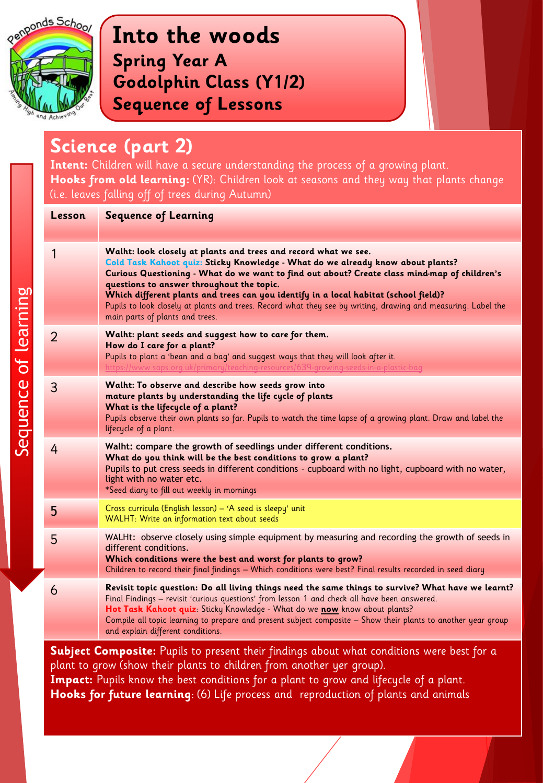

Sequence of learning

Sequence of learning

### **Into the woods Spring Year A Godolphin Class (Y1/2) Sequence of Lessons**

#### **Science (part 2)**

**Intent:** Children will have a secure understanding the process of a growing plant. **Hooks from old learning:** (YR): Children look at seasons and they way that plants change (i.e. leaves falling off of trees during Autumn)

| Lesson                                                                                           | <b>Sequence of Learning</b>                                                                                                                                                                                                                                                                                                                                                                                                                                                                                                                 |
|--------------------------------------------------------------------------------------------------|---------------------------------------------------------------------------------------------------------------------------------------------------------------------------------------------------------------------------------------------------------------------------------------------------------------------------------------------------------------------------------------------------------------------------------------------------------------------------------------------------------------------------------------------|
|                                                                                                  |                                                                                                                                                                                                                                                                                                                                                                                                                                                                                                                                             |
| 1                                                                                                | Walht: look closely at plants and trees and record what we see.<br>Cold Task Kahoot quiz: Sticky Knowledge - What do we already know about plants?<br>Curious Questioning - What do we want to find out about? Create class mind-map of children's<br>questions to answer throughout the topic.<br>Which different plants and trees can you identify in a local habitat (school field)?<br>Pupils to look closely at plants and trees. Record what they see by writing, drawing and measuring. Label the<br>main parts of plants and trees. |
| $\overline{2}$                                                                                   | Walht: plant seeds and suggest how to care for them.<br>How do I care for a plant?<br>Pupils to plant a 'bean and a bag' and suggest ways that they will look after it.<br>https://www.saps.org.uk/primary/teaching-resources/639-growing-seeds-in-a-plastic-bag                                                                                                                                                                                                                                                                            |
| 3                                                                                                | Walht: To observe and describe how seeds grow into<br>mature plants by understanding the life cycle of plants<br>What is the lifecycle of a plant?<br>Pupils observe their own plants so far. Pupils to watch the time lapse of a growing plant. Draw and label the<br>lifecycle of a plant.                                                                                                                                                                                                                                                |
| 4                                                                                                | Walht: compare the growth of seedlings under different conditions.<br>What do you think will be the best conditions to grow a plant?<br>Pupils to put cress seeds in different conditions - cupboard with no light, cupboard with no water,<br>light with no water etc.<br>*Seed diary to fill out weekly in mornings                                                                                                                                                                                                                       |
| 5                                                                                                | Cross curricula (English lesson) - 'A seed is sleepy' unit<br>WALHT: Write an information text about seeds                                                                                                                                                                                                                                                                                                                                                                                                                                  |
| 5                                                                                                | WALHt: observe closely using simple equipment by measuring and recording the growth of seeds in<br>different conditions.<br>Which conditions were the best and worst for plants to grow?<br>Children to record their final findings - Which conditions were best? Final results recorded in seed diary                                                                                                                                                                                                                                      |
| 6                                                                                                | Revisit topic question: Do all living things need the same things to survive? What have we learnt?<br>Final Findings - revisit 'curious questions' from lesson 1 and check all have been answered.<br>Hot Task Kahoot quiz: Sticky Knowledge - What do we now know about plants?<br>Compile all topic learning to prepare and present subject composite - Show their plants to another year group<br>and explain different conditions.                                                                                                      |
| <b>Subject Composite:</b> Pupils to present their findings about what conditions were best for a |                                                                                                                                                                                                                                                                                                                                                                                                                                                                                                                                             |

plant to grow (show their plants to children from another yer group). **Impact:** Pupils know the best conditions for a plant to grow and lifecycle of a plant. **Hooks for future learning**: (6) Life process and reproduction of plants and animals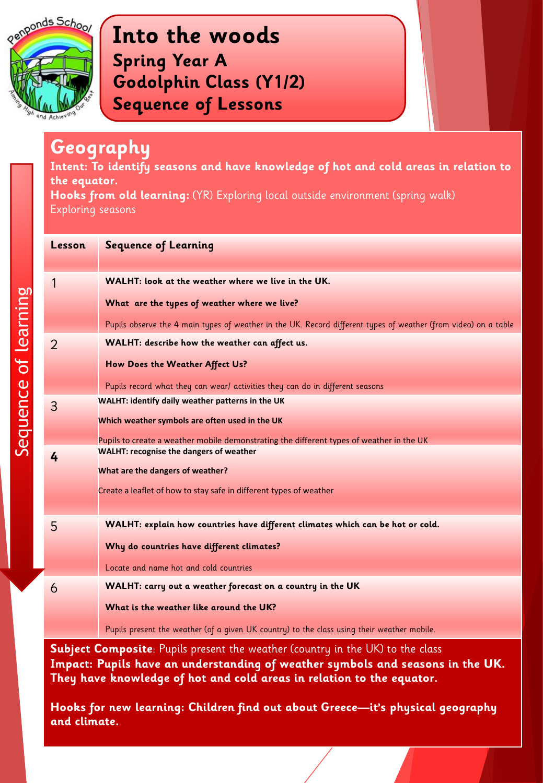

#### **Geography**

**Intent: To identify seasons and have knowledge of hot and cold areas in relation to the equator.** 

**Hooks from old learning:** (YR) Exploring local outside environment (spring walk) Exploring seasons

| Lesson         | <b>Sequence of Learning</b>                                                                                     |
|----------------|-----------------------------------------------------------------------------------------------------------------|
|                |                                                                                                                 |
| 1              | WALHT: look at the weather where we live in the UK.                                                             |
|                | What are the types of weather where we live?                                                                    |
|                | Pupils observe the 4 main types of weather in the UK. Record different types of weather (from video) on a table |
| $\overline{2}$ | WALHT: describe how the weather can affect us.                                                                  |
|                | How Does the Weather Affect Us?                                                                                 |
|                | Pupils record what they can wear/ activities they can do in different seasons                                   |
| 3              | WALHT: identify daily weather patterns in the UK                                                                |
|                | Which weather symbols are often used in the UK                                                                  |
|                | Pupils to create a weather mobile demonstrating the different types of weather in the UK                        |
| 4              | <b>WALHT: recognise the dangers of weather</b>                                                                  |
|                | What are the dangers of weather?                                                                                |
|                | Create a leaflet of how to stay safe in different types of weather                                              |
|                |                                                                                                                 |
| 5              | WALHT: explain how countries have different climates which can be hot or cold.                                  |
|                | Why do countries have different climates?                                                                       |
|                | Locate and name hot and cold countries                                                                          |
| 6              | WALHT: carry out a weather forecast on a country in the UK                                                      |
|                | What is the weather like around the UK?                                                                         |
|                | Pupils present the weather (of a given UK country) to the class using their weather mobile.                     |

**Subject Composite**: Pupils present the weather (country in the UK) to the class **Impact: Pupils have an understanding of weather symbols and seasons in the UK. They have knowledge of hot and cold areas in relation to the equator.** 

**Hooks for new learning: Children find out about Greece—it's physical geography and climate.**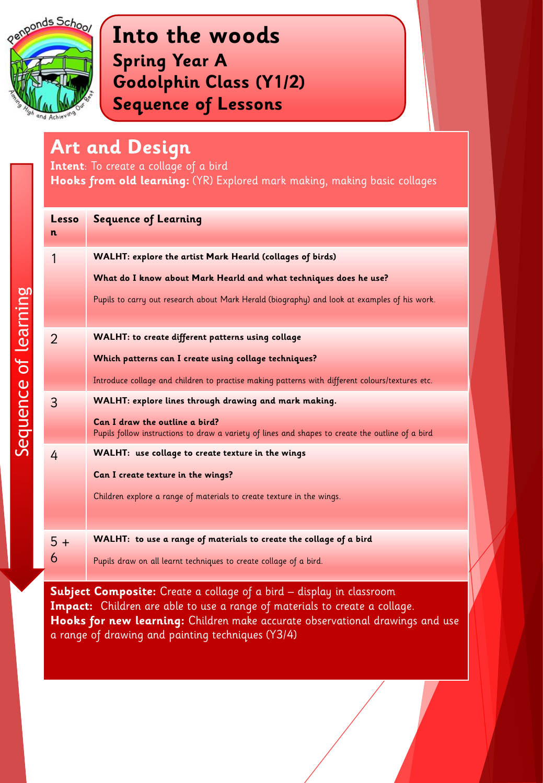

# **Art and Design**

**Intent**: To create a collage of a bird

**Hooks from old learning:** (YR) Explored mark making, making basic collages

| Lesso<br>n     | <b>Sequence of Learning</b>                                                                                                        |
|----------------|------------------------------------------------------------------------------------------------------------------------------------|
| 1              | WALHT: explore the artist Mark Hearld (collages of birds)                                                                          |
|                | What do I know about Mark Hearld and what techniques does he use?                                                                  |
|                | Pupils to carry out research about Mark Herald (biography) and look at examples of his work.                                       |
| $\overline{2}$ | WALHT: to create different patterns using collage                                                                                  |
|                | Which patterns can I create using collage techniques?                                                                              |
|                | Introduce collage and children to practise making patterns with different colours/textures etc.                                    |
| 3              | WALHT: explore lines through drawing and mark making.                                                                              |
|                | Can I draw the outline a bird?<br>Pupils follow instructions to draw a variety of lines and shapes to create the outline of a bird |
| 4              | WALHT: use collage to create texture in the wings                                                                                  |
|                | Can I create texture in the wings?                                                                                                 |
|                | Children explore a range of materials to create texture in the wings.                                                              |
|                |                                                                                                                                    |
| $5+$           | WALHT: to use a range of materials to create the collage of a bird                                                                 |
| 6              | Pupils draw on all learnt techniques to create collage of a bird.                                                                  |

**Subject Composite:** Create a collage of a bird – display in classroom **Impact:** Children are able to use a range of materials to create a collage. **Hooks for new learning:** Children make accurate observational drawings and use a range of drawing and painting techniques (Y3/4)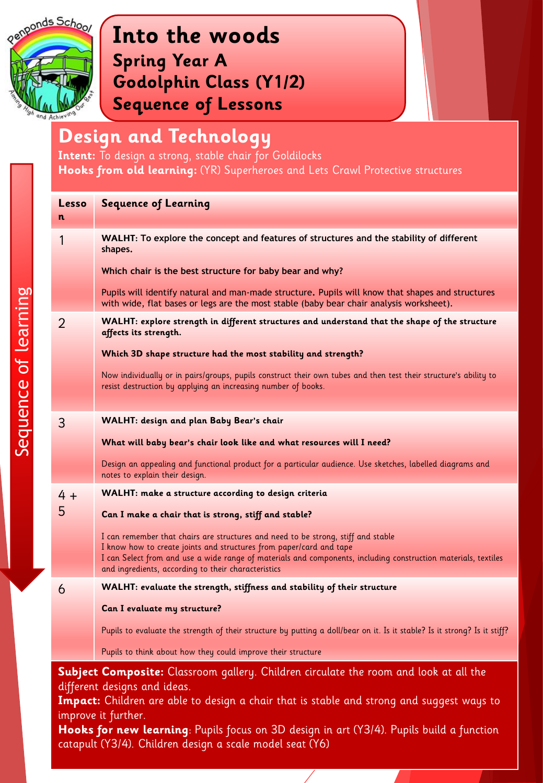

Sequence of learning

Sequence of learning

## **Into the woods Spring Year A Godolphin Class (Y1/2) Sequence of Lessons**

## **Design and Technology**

**Intent:** To design a strong, stable chair for Goldilocks **Hooks from old learning:** (YR) Superheroes and Lets Crawl Protective structures

| Lesso                                                                                                                                                                                                                                                                                                                                 | <b>Sequence of Learning</b>                                                                                                                                                                 |
|---------------------------------------------------------------------------------------------------------------------------------------------------------------------------------------------------------------------------------------------------------------------------------------------------------------------------------------|---------------------------------------------------------------------------------------------------------------------------------------------------------------------------------------------|
| n                                                                                                                                                                                                                                                                                                                                     |                                                                                                                                                                                             |
| 1                                                                                                                                                                                                                                                                                                                                     | WALHT: To explore the concept and features of structures and the stability of different<br>shapes.                                                                                          |
|                                                                                                                                                                                                                                                                                                                                       | Which chair is the best structure for baby bear and why?                                                                                                                                    |
|                                                                                                                                                                                                                                                                                                                                       | Pupils will identify natural and man-made structure. Pupils will know that shapes and structures<br>with wide, flat bases or legs are the most stable (baby bear chair analysis worksheet). |
| 2                                                                                                                                                                                                                                                                                                                                     | WALHT: explore strength in different structures and understand that the shape of the structure<br>affects its strength.                                                                     |
|                                                                                                                                                                                                                                                                                                                                       | Which 3D shape structure had the most stability and strength?                                                                                                                               |
|                                                                                                                                                                                                                                                                                                                                       | Now individually or in pairs/groups, pupils construct their own tubes and then test their structure's ability to<br>resist destruction by applying an increasing number of books.           |
| 3                                                                                                                                                                                                                                                                                                                                     | WALHT: design and plan Baby Bear's chair                                                                                                                                                    |
|                                                                                                                                                                                                                                                                                                                                       | What will baby bear's chair look like and what resources will I need?                                                                                                                       |
|                                                                                                                                                                                                                                                                                                                                       |                                                                                                                                                                                             |
|                                                                                                                                                                                                                                                                                                                                       | Design an appealing and functional product for a particular audience. Use sketches, labelled diagrams and<br>notes to explain their design.                                                 |
| $4 +$                                                                                                                                                                                                                                                                                                                                 | WALHT: make a structure according to design criteria                                                                                                                                        |
| 5                                                                                                                                                                                                                                                                                                                                     | Can I make a chair that is strong, stiff and stable?                                                                                                                                        |
|                                                                                                                                                                                                                                                                                                                                       | I can remember that chairs are structures and need to be strong, stiff and stable<br>I know how to create joints and structures from paper/card and tape                                    |
|                                                                                                                                                                                                                                                                                                                                       | I can Select from and use a wide range of materials and components, including construction materials, textiles<br>and ingredients, according to their characteristics                       |
| 6                                                                                                                                                                                                                                                                                                                                     | WALHT: evaluate the strength, stiffness and stability of their structure                                                                                                                    |
|                                                                                                                                                                                                                                                                                                                                       | Can I evaluate my structure?                                                                                                                                                                |
|                                                                                                                                                                                                                                                                                                                                       | Pupils to evaluate the strength of their structure by putting a doll/bear on it. Is it stable? Is it strong? Is it stiff?                                                                   |
|                                                                                                                                                                                                                                                                                                                                       | Pupils to think about how they could improve their structure                                                                                                                                |
| Subject Composite: Classroom gallery. Children circulate the room and look at all the<br>different designs and ideas.<br>Impact: Children are able to design a chair that is stable and strong and suggest ways to<br>improve it further.<br>Hooks for new learning: Pupils focus on 3D design in art (Y3/4). Pupils build a function |                                                                                                                                                                                             |
| catapult (Y3/4). Children design a scale model seat (Y6)                                                                                                                                                                                                                                                                              |                                                                                                                                                                                             |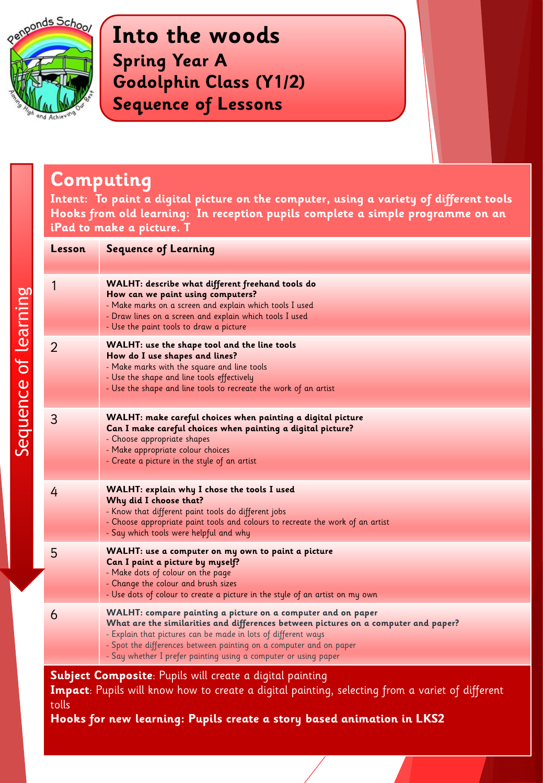

Sequence of learning

Sequence of learning

**Into the woods Spring Year A Godolphin Class (Y1/2) Sequence of Lessons**

#### **Computing**

**Intent: To paint a digital picture on the computer, using a variety of different tools Hooks from old learning: In reception pupils complete a simple programme on an iPad to make a picture. T**

| Lesson                                                          | <b>Sequence of Learning</b>                                                                                                                                                                                                                                                                                                                                   |
|-----------------------------------------------------------------|---------------------------------------------------------------------------------------------------------------------------------------------------------------------------------------------------------------------------------------------------------------------------------------------------------------------------------------------------------------|
| 1                                                               | WALHT: describe what different freehand tools do<br>How can we paint using computers?<br>- Make marks on a screen and explain which tools I used<br>- Draw lines on a screen and explain which tools I used<br>- Use the paint tools to draw a picture                                                                                                        |
| 2                                                               | WALHT: use the shape tool and the line tools<br>How do I use shapes and lines?<br>- Make marks with the square and line tools<br>- Use the shape and line tools effectively<br>- Use the shape and line tools to recreate the work of an artist                                                                                                               |
| 3                                                               | WALHT: make careful choices when painting a digital picture<br>Can I make careful choices when painting a digital picture?<br>- Choose appropriate shapes<br>- Make appropriate colour choices<br>- Create a picture in the style of an artist                                                                                                                |
| 4                                                               | WALHT: explain why I chose the tools I used<br>Why did I choose that?<br>- Know that different paint tools do different jobs<br>- Choose appropriate paint tools and colours to recreate the work of an artist<br>- Say which tools were helpful and why                                                                                                      |
| 5                                                               | WALHT: use a computer on my own to paint a picture<br>Can I paint a picture by myself?<br>- Make dots of colour on the page<br>- Change the colour and brush sizes<br>- Use dots of colour to create a picture in the style of an artist on my own                                                                                                            |
| 6                                                               | WALHT: compare painting a picture on a computer and on paper<br>What are the similarities and differences between pictures on a computer and paper?<br>- Explain that pictures can be made in lots of different ways<br>- Spot the differences between painting on a computer and on paper<br>- Say whether I prefer painting using a computer or using paper |
| <b>Subject Composite:</b> Pupils will create a digital painting |                                                                                                                                                                                                                                                                                                                                                               |

**Impact**: Pupils will know how to create a digital painting, selecting from a variet of different tolls

**Hooks for new learning: Pupils create a story based animation in LKS2**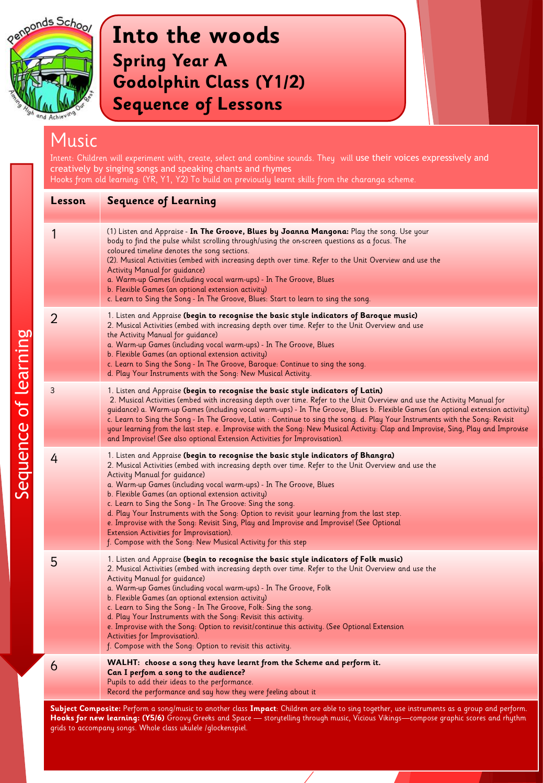

## Music

Intent: Children will experiment with, create, select and combine sounds. They will use their voices expressively and creatively by singing songs and speaking chants and rhymes Hooks from old learning: (YR, Y1, Y2) To build on previously learnt skills from the charanga scheme. **Lesson Sequence of Learning**  1 (1) Listen and Appraise - **In The Groove, Blues by Joanna Mangona:** Play the song. Use your body to find the pulse whilst scrolling through/using the on-screen questions as a focus. The coloured timeline denotes the song sections. (2). Musical Activities (embed with increasing depth over time. Refer to the Unit Overview and use the Activity Manual for guidance) a. Warm-up Games (including vocal warm-ups) - In The Groove, Blues b. Flexible Games (an optional extension activity) c. Learn to Sing the Song - In The Groove, Blues: Start to learn to sing the song. 2 1. Listen and Appraise **(begin to recognise the basic style indicators of Baroque music)** 2. Musical Activities (embed with increasing depth over time. Refer to the Unit Overview and use the Activity Manual for guidance) a. Warm-up Games (including vocal warm-ups) - In The Groove, Blues b. Flexible Games (an optional extension activity) c. Learn to Sing the Song - In The Groove, Baroque: Continue to sing the song. d. Play Your Instruments with the Song: New Musical Activity. 3 1. Listen and Appraise **(begin to recognise the basic style indicators of Latin)**  2. Musical Activities (embed with increasing depth over time. Refer to the Unit Overview and use the Activity Manual for guidance) a. Warm-up Games (including vocal warm-ups) - In The Groove, Blues b. Flexible Games (an optional extension activity) c. Learn to Sing the Song - In The Groove, Latin : Continue to sing the song. d. Play Your Instruments with the Song: Revisit your learning from the last step. e. Improvise with the Song: New Musical Activity: Clap and Improvise, Sing, Play and Improvise and Improvise! (See also optional Extension Activities for Improvisation). 4 1. Listen and Appraise **(begin to recognise the basic style indicators of Bhangra)** 2. Musical Activities (embed with increasing depth over time. Refer to the Unit Overview and use the Activity Manual for guidance) a. Warm-up Games (including vocal warm-ups) - In The Groove, Blues b. Flexible Games (an optional extension activity) c. Learn to Sing the Song - In The Groove: Sing the song. d. Play Your Instruments with the Song: Option to revisit your learning from the last step. e. Improvise with the Song: Revisit Sing, Play and Improvise and Improvise! (See Optional Extension Activities for Improvisation). f. Compose with the Song: New Musical Activity for this step 5 1. Listen and Appraise **(begin to recognise the basic style indicators of Folk music)** 2. Musical Activities (embed with increasing depth over time. Refer to the Unit Overview and use the Activity Manual for guidance) a. Warm-up Games (including vocal warm-ups) - In The Groove, Folk b. Flexible Games (an optional extension activity) c. Learn to Sing the Song - In The Groove, Folk: Sing the song. d. Play Your Instruments with the Song: Revisit this activity. e. Improvise with the Song: Option to revisit/continue this activity. (See Optional Extension Activities for Improvisation). f. Compose with the Song: Option to revisit this activity. 6 **WALHT: choose a song they have learnt from the Scheme and perform it.**

**Can I perfom a song to the audience?**  Pupils to add their ideas to the performance.

Record the performance and say how they were feeling about it

**Subject Composite:** Perform a song/music to another class **Impact**: Children are able to sing together, use instruments as a group and perform. **Hooks for new learning: (Y5/6)** Groovy Greeks and Space — storytelling through music, Vicious Vikings—compose graphic scores and rhythm grids to accompany songs. Whole class ukulele /glockenspiel.

Sequence of learning Sequence of learning